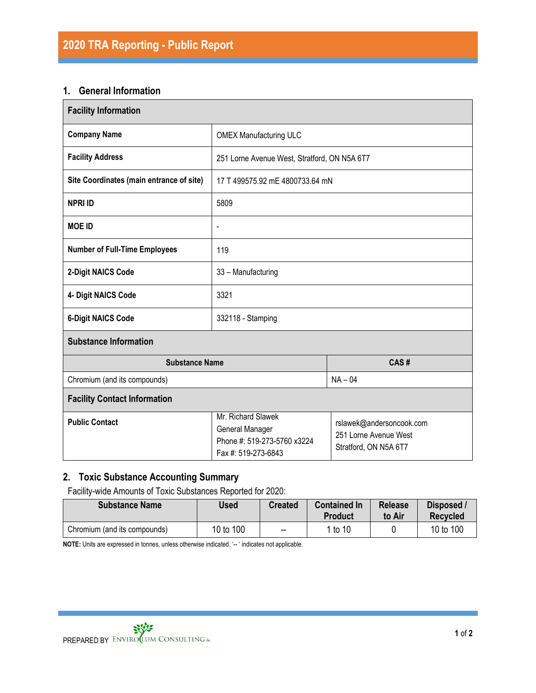## **1. General Information**

| <b>Facility Information</b>              |                                                                                                                                                                           |  |  |  |  |  |
|------------------------------------------|---------------------------------------------------------------------------------------------------------------------------------------------------------------------------|--|--|--|--|--|
| <b>Company Name</b>                      | <b>OMEX Manufacturing ULC</b>                                                                                                                                             |  |  |  |  |  |
| <b>Facility Address</b>                  | 251 Lorne Avenue West, Stratford, ON N5A 6T7                                                                                                                              |  |  |  |  |  |
| Site Coordinates (main entrance of site) | 17 T 499575.92 mE 4800733.64 mN                                                                                                                                           |  |  |  |  |  |
| <b>NPRI ID</b>                           | 5809                                                                                                                                                                      |  |  |  |  |  |
| <b>MOE ID</b>                            | $\frac{1}{2}$                                                                                                                                                             |  |  |  |  |  |
| <b>Number of Full-Time Employees</b>     | 119                                                                                                                                                                       |  |  |  |  |  |
| 2-Digit NAICS Code                       | 33 - Manufacturing                                                                                                                                                        |  |  |  |  |  |
| 4- Digit NAICS Code                      | 3321                                                                                                                                                                      |  |  |  |  |  |
| <b>6-Digit NAICS Code</b>                | 332118 - Stamping                                                                                                                                                         |  |  |  |  |  |
| <b>Substance Information</b>             |                                                                                                                                                                           |  |  |  |  |  |
| <b>Substance Name</b>                    | CAS#                                                                                                                                                                      |  |  |  |  |  |
| Chromium (and its compounds)             | $NA - 04$                                                                                                                                                                 |  |  |  |  |  |
| <b>Facility Contact Information</b>      |                                                                                                                                                                           |  |  |  |  |  |
| <b>Public Contact</b>                    | Mr. Richard Slawek<br>rslawek@andersoncook.com<br>General Manager<br>251 Lorne Avenue West<br>Phone #: 519-273-5760 x3224<br>Stratford, ON N5A 6T7<br>Fax #: 519-273-6843 |  |  |  |  |  |

# **2. Toxic Substance Accounting Summary**

Facility-wide Amounts of Toxic Substances Reported for 2020:

| <b>Substance Name</b>        | Used      | <b>Created</b> | <b>Contained In</b><br>Product | <b>Release</b><br>to Air | Disposed /<br><b>Recycled</b> |
|------------------------------|-----------|----------------|--------------------------------|--------------------------|-------------------------------|
| Chromium (and its compounds) | 10 to 100 | $-$            | 1 to 10                        |                          | 10 to 100                     |

**NOTE:** Units are expressed in tonnes, unless otherwise indicated. '-- ' indicates not applicable.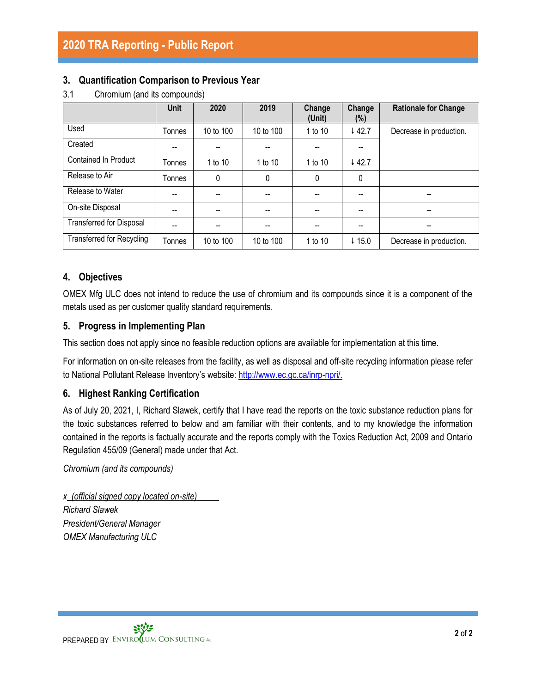## **3. Quantification Comparison to Previous Year**

|                                  | <b>Unit</b> | 2020      | 2019      | Change<br>(Unit)         | Change<br>$(\%)$                      | <b>Rationale for Change</b> |
|----------------------------------|-------------|-----------|-----------|--------------------------|---------------------------------------|-----------------------------|
| Used                             | Tonnes      | 10 to 100 | 10 to 100 | 1 to 10                  | 442.7                                 | Decrease in production.     |
| Created                          |             |           |           |                          |                                       |                             |
| Contained In Product             | Tonnes      | 1 to 10   | 1 to 10   | 1 to 10                  | 442.7                                 |                             |
| Release to Air                   | Tonnes      | 0         | 0         | 0                        | 0                                     |                             |
| Release to Water                 | --          | --        |           | --                       | --                                    |                             |
| On-site Disposal                 | --          | --        | --        | $\overline{\phantom{a}}$ | $\hspace{0.05cm}$ – $\hspace{0.05cm}$ |                             |
| <b>Transferred for Disposal</b>  |             |           |           |                          |                                       |                             |
| <b>Transferred for Recycling</b> | Tonnes      | 10 to 100 | 10 to 100 | 1 to 10                  | $\downarrow$ 15.0                     | Decrease in production.     |

3.1 Chromium (and its compounds)

# **4. Objectives**

OMEX Mfg ULC does not intend to reduce the use of chromium and its compounds since it is a component of the metals used as per customer quality standard requirements.

## **5. Progress in Implementing Plan**

This section does not apply since no feasible reduction options are available for implementation at this time.

For information on on-site releases from the facility, as well as disposal and off-site recycling information please refer to National Pollutant Release Inventory's website: [http://www.ec.gc.ca/inrp-npri/.](http://www.ec.gc.ca/inrp-npri/)

# **6. Highest Ranking Certification**

As of July 20, 2021, I, Richard Slawek, certify that I have read the reports on the toxic substance reduction plans for the toxic substances referred to below and am familiar with their contents, and to my knowledge the information contained in the reports is factually accurate and the reports comply with the Toxics Reduction Act, 2009 and Ontario Regulation 455/09 (General) made under that Act.

*Chromium (and its compounds)*

*x\_(official signed copy located on-site)\_\_\_\_\_ Richard Slawek President/General Manager OMEX Manufacturing ULC*